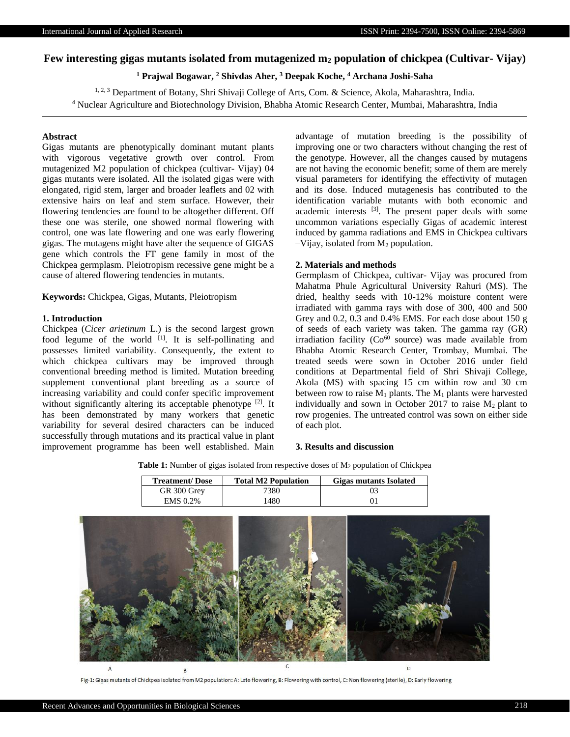# **Few interesting gigas mutants isolated from mutagenized m<sup>2</sup> population of chickpea (Cultivar- Vijay)**

**<sup>1</sup> Prajwal Bogawar, <sup>2</sup> Shivdas Aher, <sup>3</sup> Deepak Koche, <sup>4</sup> Archana Joshi-Saha**

<sup>1, 2, 3</sup> Department of Botany, Shri Shivaji College of Arts, Com. & Science, Akola, Maharashtra, India. <sup>4</sup> Nuclear Agriculture and Biotechnology Division, Bhabha Atomic Research Center, Mumbai, Maharashtra, India

# **Abstract**

Gigas mutants are phenotypically dominant mutant plants with vigorous vegetative growth over control. From mutagenized M2 population of chickpea (cultivar- Vijay) 04 gigas mutants were isolated. All the isolated gigas were with elongated, rigid stem, larger and broader leaflets and 02 with extensive hairs on leaf and stem surface. However, their flowering tendencies are found to be altogether different. Off these one was sterile, one showed normal flowering with control, one was late flowering and one was early flowering gigas. The mutagens might have alter the sequence of GIGAS gene which controls the FT gene family in most of the Chickpea germplasm. Pleiotropism recessive gene might be a cause of altered flowering tendencies in mutants.

**Keywords:** Chickpea, Gigas, Mutants, Pleiotropism

# **1. Introduction**

Chickpea (*Cicer arietinum* L.) is the second largest grown food legume of the world  $[1]$ . It is self-pollinating and possesses limited variability. Consequently, the extent to which chickpea cultivars may be improved through conventional breeding method is limited. Mutation breeding supplement conventional plant breeding as a source of increasing variability and could confer specific improvement without significantly altering its acceptable phenotype [2]. It has been demonstrated by many workers that genetic variability for several desired characters can be induced successfully through mutations and its practical value in plant improvement programme has been well established. Main

advantage of mutation breeding is the possibility of improving one or two characters without changing the rest of the genotype. However, all the changes caused by mutagens are not having the economic benefit; some of them are merely visual parameters for identifying the effectivity of mutagen and its dose. Induced mutagenesis has contributed to the identification variable mutants with both economic and academic interests [3]. The present paper deals with some uncommon variations especially Gigas of academic interest induced by gamma radiations and EMS in Chickpea cultivars  $-V$ ijay, isolated from  $M_2$  population.

#### **2. Materials and methods**

Germplasm of Chickpea, cultivar- Vijay was procured from Mahatma Phule Agricultural University Rahuri (MS). The dried, healthy seeds with 10-12% moisture content were irradiated with gamma rays with dose of 300, 400 and 500 Grey and 0.2, 0.3 and 0.4% EMS. For each dose about 150 g of seeds of each variety was taken. The gamma ray (GR) irradiation facility ( $Co<sup>60</sup>$  source) was made available from Bhabha Atomic Research Center, Trombay, Mumbai. The treated seeds were sown in October 2016 under field conditions at Departmental field of Shri Shivaji College, Akola (MS) with spacing 15 cm within row and 30 cm between row to raise  $M_1$  plants. The  $M_1$  plants were harvested individually and sown in October 2017 to raise  $M_2$  plant to row progenies. The untreated control was sown on either side of each plot.

### **3. Results and discussion**

Table 1: Number of gigas isolated from respective doses of M<sub>2</sub> population of Chickpea

| <b>Treatment/Dose</b> | <b>Total M2 Population</b> | <b>Gigas mutants Isolated</b> |
|-----------------------|----------------------------|-------------------------------|
| GR 300 Grev           | '380                       |                               |
| <b>EMS 0.2%</b>       | .480                       |                               |



Fig-1: Gigas mutants of Chickpea isolated from M2 population: A: Late flowering, B: Flowering with control, C: Non flowering (sterile), D: Early flowering